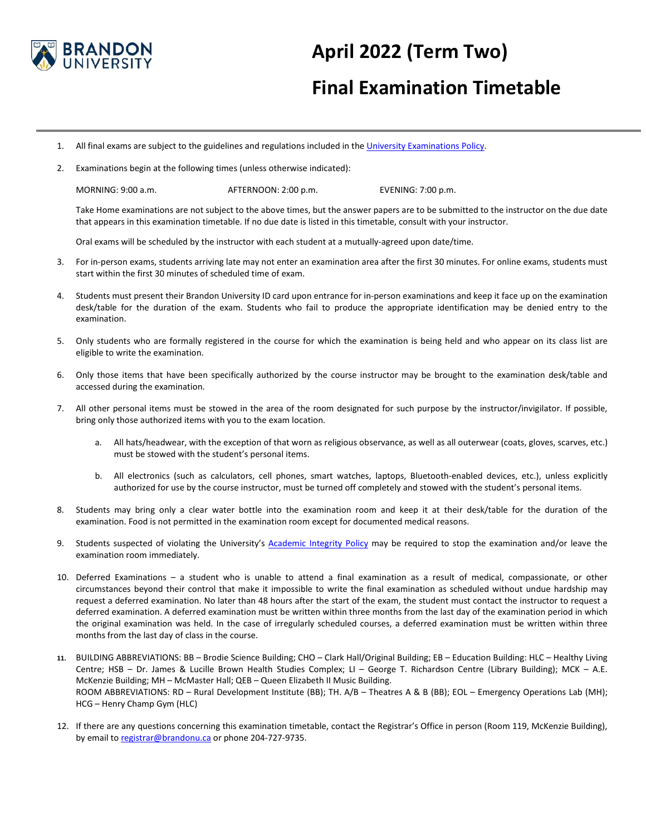

## **April 2022 (Term Two)**

## **Final Examination Timetable**

- 1. All final exams are subject to the guidelines and regulations included in th[e University Examinations Policy.](https://www.brandonu.ca/senate-office/files/2019/09/Comprehensive-Exam-Policy-Sept-2019.pdf)
- 2. Examinations begin at the following times (unless otherwise indicated):

MORNING: 9:00 a.m. AFTERNOON: 2:00 p.m. EVENING: 7:00 p.m.

Take Home examinations are not subject to the above times, but the answer papers are to be submitted to the instructor on the due date that appears in this examination timetable. If no due date is listed in this timetable, consult with your instructor.

Oral exams will be scheduled by the instructor with each student at a mutually-agreed upon date/time.

- 3. For in-person exams, students arriving late may not enter an examination area after the first 30 minutes. For online exams, students must start within the first 30 minutes of scheduled time of exam.
- 4. Students must present their Brandon University ID card upon entrance for in-person examinations and keep it face up on the examination desk/table for the duration of the exam. Students who fail to produce the appropriate identification may be denied entry to the examination.
- 5. Only students who are formally registered in the course for which the examination is being held and who appear on its class list are eligible to write the examination.
- 6. Only those items that have been specifically authorized by the course instructor may be brought to the examination desk/table and accessed during the examination.
- 7. All other personal items must be stowed in the area of the room designated for such purpose by the instructor/invigilator. If possible, bring only those authorized items with you to the exam location.
	- a. All hats/headwear, with the exception of that worn as religious observance, as well as all outerwear (coats, gloves, scarves, etc.) must be stowed with the student's personal items.
	- b. All electronics (such as calculators, cell phones, smart watches, laptops, Bluetooth-enabled devices, etc.), unless explicitly authorized for use by the course instructor, must be turned off completely and stowed with the student's personal items.
- 8. Students may bring only a clear water bottle into the examination room and keep it at their desk/table for the duration of the examination. Food is not permitted in the examination room except for documented medical reasons.
- 9. Students suspected of violating the University's [Academic Integrity Policy](https://www.brandonu.ca/senate-office/files/2020/08/AcademicIntegrity_Policy_SenateApproved20200723.pdf) may be required to stop the examination and/or leave the examination room immediately.
- 10. Deferred Examinations a student who is unable to attend a final examination as a result of medical, compassionate, or other circumstances beyond their control that make it impossible to write the final examination as scheduled without undue hardship may request a deferred examination. No later than 48 hours after the start of the exam, the student must contact the instructor to request a deferred examination. A deferred examination must be written within three months from the last day of the examination period in which the original examination was held. In the case of irregularly scheduled courses, a deferred examination must be written within three months from the last day of class in the course.
- **11.** BUILDING ABBREVIATIONS: BB Brodie Science Building; CHO Clark Hall/Original Building; EB Education Building: HLC Healthy Living Centre; HSB – Dr. James & Lucille Brown Health Studies Complex; LI – George T. Richardson Centre (Library Building); MCK – A.E. McKenzie Building; MH – McMaster Hall; QEB – Queen Elizabeth II Music Building. ROOM ABBREVIATIONS: RD – Rural Development Institute (BB); TH. A/B – Theatres A & B (BB); EOL – Emergency Operations Lab (MH); HCG – Henry Champ Gym (HLC)
- 12. If there are any questions concerning this examination timetable, contact the Registrar's Office in person (Room 119, McKenzie Building), by email to [registrar@brandonu.ca](mailto:registrar@brandonu.ca) or phone 204-727-9735.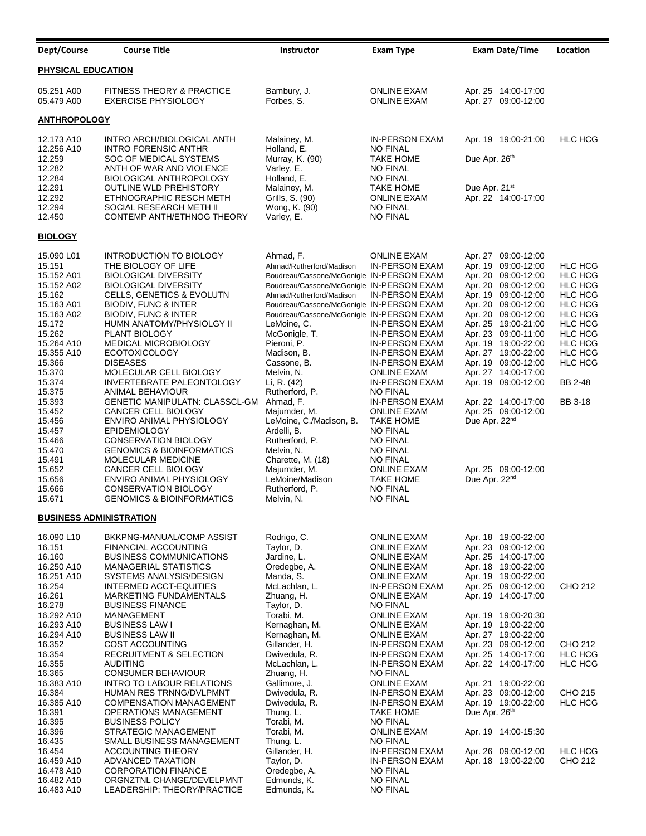| Dept/Course                    | <b>Course Title</b>                                        | Instructor                                                                             | <b>Exam Type</b>                               | <b>Exam Date/Time</b>                      | Location                         |  |
|--------------------------------|------------------------------------------------------------|----------------------------------------------------------------------------------------|------------------------------------------------|--------------------------------------------|----------------------------------|--|
| PHYSICAL EDUCATION             |                                                            |                                                                                        |                                                |                                            |                                  |  |
|                                |                                                            |                                                                                        |                                                |                                            |                                  |  |
| 05.251 A00                     | FITNESS THEORY & PRACTICE                                  | Bambury, J.                                                                            | <b>ONLINE EXAM</b>                             | Apr. 25 14:00-17:00                        |                                  |  |
| 05.479 A00                     | <b>EXERCISE PHYSIOLOGY</b>                                 | Forbes, S.                                                                             | <b>ONLINE EXAM</b>                             | Apr. 27 09:00-12:00                        |                                  |  |
| <b>ANTHROPOLOGY</b>            |                                                            |                                                                                        |                                                |                                            |                                  |  |
|                                |                                                            |                                                                                        |                                                |                                            |                                  |  |
| 12.173 A10<br>12.256 A10       | INTRO ARCH/BIOLOGICAL ANTH<br><b>INTRO FORENSIC ANTHR</b>  | Malainey, M.<br>Holland, E.                                                            | <b>IN-PERSON EXAM</b><br><b>NO FINAL</b>       | Apr. 19 19:00-21:00                        | HLC HCG                          |  |
| 12.259                         | SOC OF MEDICAL SYSTEMS                                     | Murray, K. (90)                                                                        | <b>TAKE HOME</b>                               | Due Apr. 26th                              |                                  |  |
| 12.282                         | ANTH OF WAR AND VIOLENCE                                   | Varley, E.                                                                             | <b>NO FINAL</b>                                |                                            |                                  |  |
| 12.284                         | <b>BIOLOGICAL ANTHROPOLOGY</b>                             | Holland, E.                                                                            | <b>NO FINAL</b>                                |                                            |                                  |  |
| 12.291                         | <b>OUTLINE WLD PREHISTORY</b>                              | Malainey, M.                                                                           | <b>TAKE HOME</b>                               | Due Apr. 21st                              |                                  |  |
| 12.292<br>12.294               | ETHNOGRAPHIC RESCH METH<br>SOCIAL RESEARCH METH II         | Grills, S. (90)<br>Wong, K. (90)                                                       | <b>ONLINE EXAM</b><br><b>NO FINAL</b>          | Apr. 22 14:00-17:00                        |                                  |  |
| 12.450                         | CONTEMP ANTH/ETHNOG THEORY                                 | Varley, E.                                                                             | <b>NO FINAL</b>                                |                                            |                                  |  |
|                                |                                                            |                                                                                        |                                                |                                            |                                  |  |
| <b>BIOLOGY</b>                 |                                                            |                                                                                        |                                                |                                            |                                  |  |
| 15.090 L01                     | INTRODUCTION TO BIOLOGY                                    | Ahmad, F.                                                                              | <b>ONLINE EXAM</b>                             | Apr. 27 09:00-12:00                        |                                  |  |
| 15.151                         | THE BIOLOGY OF LIFE                                        | Ahmad/Rutherford/Madison                                                               | <b>IN-PERSON EXAM</b>                          | Apr. 19 09:00-12:00                        | <b>HLC HCG</b>                   |  |
| 15.152 A01<br>15.152 A02       | <b>BIOLOGICAL DIVERSITY</b><br><b>BIOLOGICAL DIVERSITY</b> | Boudreau/Cassone/McGonigle IN-PERSON EXAM<br>Boudreau/Cassone/McGonigle IN-PERSON EXAM |                                                | Apr. 20 09:00-12:00<br>Apr. 20 09:00-12:00 | <b>HLC HCG</b><br><b>HLC HCG</b> |  |
| 15.162                         | <b>CELLS, GENETICS &amp; EVOLUTN</b>                       | Ahmad/Rutherford/Madison                                                               | IN-PERSON EXAM                                 | Apr. 19 09:00-12:00                        | <b>HLC HCG</b>                   |  |
| 15.163 A01                     | <b>BIODIV, FUNC &amp; INTER</b>                            | Boudreau/Cassone/McGonigle IN-PERSON EXAM                                              |                                                | Apr. 20 09:00-12:00                        | <b>HLC HCG</b>                   |  |
| 15.163 A02                     | <b>BIODIV, FUNC &amp; INTER</b>                            | Boudreau/Cassone/McGonigle IN-PERSON EXAM                                              |                                                | Apr. 20 09:00-12:00                        | <b>HLC HCG</b>                   |  |
| 15.172                         | HUMN ANATOMY/PHYSIOLGY II                                  | LeMoine, C.                                                                            | IN-PERSON EXAM                                 | Apr. 25 19:00-21:00                        | <b>HLC HCG</b>                   |  |
| 15.262                         | <b>PLANT BIOLOGY</b>                                       | McGonigle, T.<br>Pieroni, P.                                                           | <b>IN-PERSON EXAM</b><br><b>IN-PERSON EXAM</b> | Apr. 23 09:00-11:00                        | <b>HLC HCG</b><br><b>HLC HCG</b> |  |
| 15.264 A10<br>15.355 A10       | MEDICAL MICROBIOLOGY<br><b>ECOTOXICOLOGY</b>               | Madison, B.                                                                            | <b>IN-PERSON EXAM</b>                          | Apr. 19 19:00-22:00<br>Apr. 27 19:00-22:00 | HLC HCG                          |  |
| 15.366                         | <b>DISEASES</b>                                            | Cassone, B.                                                                            | <b>IN-PERSON EXAM</b>                          | Apr. 19 09:00-12:00                        | <b>HLC HCG</b>                   |  |
| 15.370                         | MOLECULAR CELL BIOLOGY                                     | Melvin, N.                                                                             | <b>ONLINE EXAM</b>                             | Apr. 27 14:00-17:00                        |                                  |  |
| 15.374                         | INVERTEBRATE PALEONTOLOGY                                  | Li, R. (42)                                                                            | <b>IN-PERSON EXAM</b>                          | Apr. 19 09:00-12:00                        | BB 2-48                          |  |
| 15.375                         | ANIMAL BEHAVIOUR                                           | Rutherford, P.                                                                         | <b>NO FINAL</b>                                |                                            |                                  |  |
| 15.393<br>15.452               | GENETIC MANIPULATN: CLASSCL-GM<br>CANCER CELL BIOLOGY      | Ahmad, F.<br>Majumder, M.                                                              | <b>IN-PERSON EXAM</b><br><b>ONLINE EXAM</b>    | Apr. 22 14:00-17:00<br>Apr. 25 09:00-12:00 | BB 3-18                          |  |
| 15.456                         | ENVIRO ANIMAL PHYSIOLOGY                                   | LeMoine, C./Madison, B.                                                                | <b>TAKE HOME</b>                               | Due Apr. 22 <sup>nd</sup>                  |                                  |  |
| 15.457                         | <b>EPIDEMIOLOGY</b>                                        | Ardelli, B.                                                                            | <b>NO FINAL</b>                                |                                            |                                  |  |
| 15.466                         | <b>CONSERVATION BIOLOGY</b>                                | Rutherford, P.                                                                         | <b>NO FINAL</b>                                |                                            |                                  |  |
| 15.470                         | <b>GENOMICS &amp; BIOINFORMATICS</b>                       | Melvin, N.                                                                             | <b>NO FINAL</b>                                |                                            |                                  |  |
| 15.491<br>15.652               | MOLECULAR MEDICINE<br>CANCER CELL BIOLOGY                  | Charette, M. (18)<br>Majumder, M.                                                      | <b>NO FINAL</b><br><b>ONLINE EXAM</b>          | Apr. 25 09:00-12:00                        |                                  |  |
| 15.656                         | ENVIRO ANIMAL PHYSIOLOGY                                   | LeMoine/Madison                                                                        | <b>TAKE HOME</b>                               | Due Apr. 22 <sup>nd</sup>                  |                                  |  |
| 15.666                         | <b>CONSERVATION BIOLOGY</b>                                | Rutherford, P.                                                                         | <b>NO FINAL</b>                                |                                            |                                  |  |
| 15.671                         | <b>GENOMICS &amp; BIOINFORMATICS</b>                       | Melvin, N.                                                                             | <b>NO FINAL</b>                                |                                            |                                  |  |
| <b>BUSINESS ADMINISTRATION</b> |                                                            |                                                                                        |                                                |                                            |                                  |  |
| 16.090 L10                     | BKKPNG-MANUAL/COMP ASSIST                                  | Rodrigo, C.                                                                            | <b>ONLINE EXAM</b>                             | Apr. 18 19:00-22:00                        |                                  |  |
| 16.151                         | FINANCIAL ACCOUNTING                                       | Taylor, D.                                                                             | <b>ONLINE EXAM</b>                             | Apr. 23 09:00-12:00                        |                                  |  |
| 16.160                         | <b>BUSINESS COMMUNICATIONS</b>                             | Jardine, L.                                                                            | <b>ONLINE EXAM</b>                             | Apr. 25 14:00-17:00                        |                                  |  |
| 16.250 A10                     | MANAGERIAL STATISTICS                                      | Oredegbe, A.                                                                           | <b>ONLINE EXAM</b>                             | Apr. 18 19:00-22:00                        |                                  |  |
| 16.251 A10<br>16.254           | SYSTEMS ANALYSIS/DESIGN<br>INTERMED ACCT-EQUITIES          | Manda, S.<br>McLachlan, L.                                                             | <b>ONLINE EXAM</b><br><b>IN-PERSON EXAM</b>    | Apr. 19 19:00-22:00<br>Apr. 25 09:00-12:00 | CHO 212                          |  |
| 16.261                         | MARKETING FUNDAMENTALS                                     | Zhuang, H.                                                                             | <b>ONLINE EXAM</b>                             | Apr. 19 14:00-17:00                        |                                  |  |
| 16.278                         | <b>BUSINESS FINANCE</b>                                    | Taylor, D.                                                                             | <b>NO FINAL</b>                                |                                            |                                  |  |
| 16.292 A10                     | MANAGEMENT                                                 | Torabi, M.                                                                             | <b>ONLINE EXAM</b>                             | Apr. 19 19:00-20:30                        |                                  |  |
| 16.293 A10                     | <b>BUSINESS LAW I</b>                                      | Kernaghan, M.                                                                          | <b>ONLINE EXAM</b>                             | Apr. 19 19:00-22:00                        |                                  |  |
| 16.294 A10<br>16.352           | <b>BUSINESS LAW II</b><br>COST ACCOUNTING                  | Kernaghan, M.<br>Gillander, H.                                                         | <b>ONLINE EXAM</b><br><b>IN-PERSON EXAM</b>    | Apr. 27 19:00-22:00<br>Apr. 23 09:00-12:00 | CHO 212                          |  |
| 16.354                         | <b>RECRUITMENT &amp; SELECTION</b>                         | Dwivedula, R.                                                                          | <b>IN-PERSON EXAM</b>                          | Apr. 25 14:00-17:00                        | HLC HCG                          |  |
| 16.355                         | <b>AUDITING</b>                                            | McLachlan, L.                                                                          | <b>IN-PERSON EXAM</b>                          | Apr. 22 14:00-17:00                        | <b>HLC HCG</b>                   |  |
| 16.365                         | <b>CONSUMER BEHAVIOUR</b>                                  | Zhuang, H.                                                                             | <b>NO FINAL</b>                                |                                            |                                  |  |
| 16.383 A10                     | INTRO TO LABOUR RELATIONS                                  | Gallimore, J.                                                                          | <b>ONLINE EXAM</b>                             | Apr. 21 19:00-22:00                        |                                  |  |
| 16.384<br>16.385 A10           | HUMAN RES TRNNG/DVLPMNT<br><b>COMPENSATION MANAGEMENT</b>  | Dwivedula, R.<br>Dwivedula, R.                                                         | IN-PERSON EXAM<br><b>IN-PERSON EXAM</b>        | Apr. 23 09:00-12:00<br>Apr. 19 19:00-22:00 | CHO 215<br><b>HLC HCG</b>        |  |
| 16.391                         | OPERATIONS MANAGEMENT                                      | Thung, L.                                                                              | <b>TAKE HOME</b>                               | Due Apr. 26 <sup>th</sup>                  |                                  |  |
| 16.395                         | <b>BUSINESS POLICY</b>                                     | Torabi, M.                                                                             | <b>NO FINAL</b>                                |                                            |                                  |  |
| 16.396                         | STRATEGIC MANAGEMENT                                       | Torabi, M.                                                                             | <b>ONLINE EXAM</b>                             | Apr. 19 14:00-15:30                        |                                  |  |
| 16.435                         | SMALL BUSINESS MANAGEMENT                                  | Thung, L.                                                                              | <b>NO FINAL</b>                                |                                            |                                  |  |
| 16.454<br>16.459 A10           | <b>ACCOUNTING THEORY</b><br>ADVANCED TAXATION              | Gillander, H.<br>Taylor, D.                                                            | <b>IN-PERSON EXAM</b><br><b>IN-PERSON EXAM</b> | Apr. 26 09:00-12:00<br>Apr. 18 19:00-22:00 | HLC HCG<br>CHO 212               |  |
| 16.478 A10                     | <b>CORPORATION FINANCE</b>                                 | Oredegbe, A.                                                                           | <b>NO FINAL</b>                                |                                            |                                  |  |
| 16.482 A10                     | ORGNZTNL CHANGE/DEVELPMNT                                  | Edmunds, K.                                                                            | <b>NO FINAL</b>                                |                                            |                                  |  |
| 16.483 A10                     | LEADERSHIP: THEORY/PRACTICE                                | Edmunds, K.                                                                            | <b>NO FINAL</b>                                |                                            |                                  |  |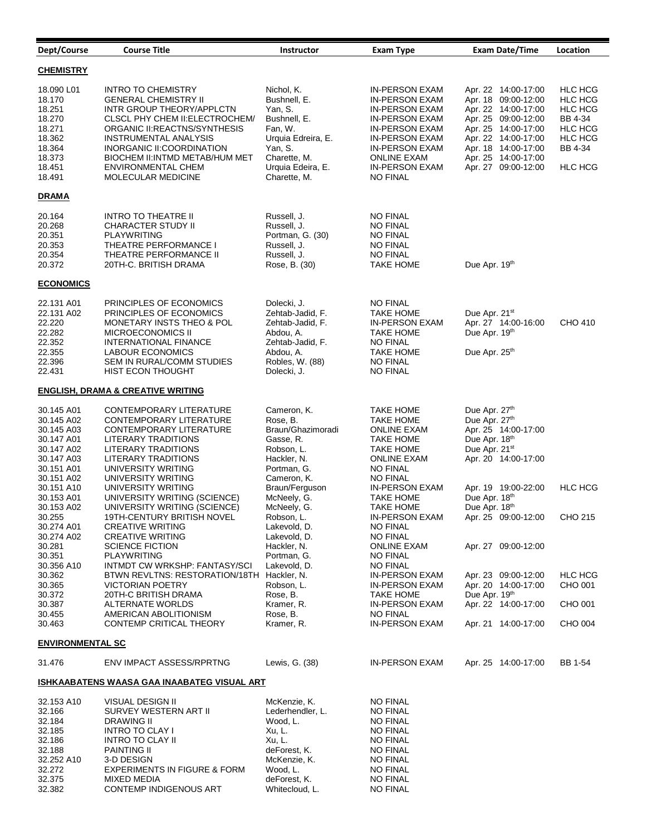| Dept/Course                                                                                    | <b>Course Title</b>                                                                                                                                                                                                                                                             | <b>Instructor</b>                                                                                                                      | <b>Exam Type</b>                                                                                                                                                                 | <b>Exam Date/Time</b>                                                                                                                                                                                       | Location                                                                                           |
|------------------------------------------------------------------------------------------------|---------------------------------------------------------------------------------------------------------------------------------------------------------------------------------------------------------------------------------------------------------------------------------|----------------------------------------------------------------------------------------------------------------------------------------|----------------------------------------------------------------------------------------------------------------------------------------------------------------------------------|-------------------------------------------------------------------------------------------------------------------------------------------------------------------------------------------------------------|----------------------------------------------------------------------------------------------------|
| <b>CHEMISTRY</b>                                                                               |                                                                                                                                                                                                                                                                                 |                                                                                                                                        |                                                                                                                                                                                  |                                                                                                                                                                                                             |                                                                                                    |
| 18.090 L01<br>18.170<br>18.251<br>18.270<br>18.271<br>18.362<br>18.364<br>18.373<br>18.451     | <b>INTRO TO CHEMISTRY</b><br><b>GENERAL CHEMISTRY II</b><br>INTR GROUP THEORY/APPLCTN<br>CLSCL PHY CHEM II: ELECTROCHEM/<br>ORGANIC II:REACTNS/SYNTHESIS<br><b>INSTRUMENTAL ANALYSIS</b><br>INORGANIC II: COORDINATION<br>BIOCHEM II: INTMD METAB/HUM MET<br>ENVIRONMENTAL CHEM | Nichol, K.<br>Bushnell, E.<br>Yan, S.<br>Bushnell, E.<br>Fan, W.<br>Urquia Edreira, E.<br>Yan, S.<br>Charette, M.<br>Urquia Edeira, E. | IN-PERSON EXAM<br>IN-PERSON EXAM<br>IN-PERSON EXAM<br>IN-PERSON EXAM<br><b>IN-PERSON EXAM</b><br>IN-PERSON EXAM<br>IN-PERSON EXAM<br><b>ONLINE EXAM</b><br><b>IN-PERSON EXAM</b> | Apr. 22 14:00-17:00<br>Apr. 18 09:00-12:00<br>Apr. 22 14:00-17:00<br>Apr. 25 09:00-12:00<br>Apr. 25 14:00-17:00<br>Apr. 22 14:00-17:00<br>Apr. 18 14:00-17:00<br>Apr. 25 14:00-17:00<br>Apr. 27 09:00-12:00 | <b>HLC HCG</b><br>HLC HCG<br>HLC HCG<br>BB 4-34<br><b>HLC HCG</b><br>HLC HCG<br>BB 4-34<br>HLC HCG |
| 18.491                                                                                         | <b>MOLECULAR MEDICINE</b>                                                                                                                                                                                                                                                       | Charette, M.                                                                                                                           | NO FINAL                                                                                                                                                                         |                                                                                                                                                                                                             |                                                                                                    |
| <b>DRAMA</b>                                                                                   |                                                                                                                                                                                                                                                                                 |                                                                                                                                        |                                                                                                                                                                                  |                                                                                                                                                                                                             |                                                                                                    |
| 20.164<br>20.268<br>20.351<br>20.353<br>20.354<br>20.372                                       | <b>INTRO TO THEATRE II</b><br>CHARACTER STUDY II<br>PLAYWRITING<br>THEATRE PERFORMANCE I<br>THEATRE PERFORMANCE II<br>20TH-C. BRITISH DRAMA                                                                                                                                     | Russell, J.<br>Russell, J.<br>Portman, G. (30)<br>Russell, J.<br>Russell, J.<br>Rose, B. (30)                                          | NO FINAL<br>NO FINAL<br>NO FINAL<br><b>NO FINAL</b><br><b>NO FINAL</b><br>TAKE HOME                                                                                              | Due Apr. 19th                                                                                                                                                                                               |                                                                                                    |
| <b>ECONOMICS</b>                                                                               |                                                                                                                                                                                                                                                                                 |                                                                                                                                        |                                                                                                                                                                                  |                                                                                                                                                                                                             |                                                                                                    |
| 22.131 A01<br>22.131 A02<br>22.220<br>22.282<br>22.352<br>22.355<br>22.396<br>22.431           | PRINCIPLES OF ECONOMICS<br>PRINCIPLES OF ECONOMICS<br>MONETARY INSTS THEO & POL<br>MICROECONOMICS II<br><b>INTERNATIONAL FINANCE</b><br><b>LABOUR ECONOMICS</b><br>SEM IN RURAL/COMM STUDIES<br><b>HIST ECON THOUGHT</b>                                                        | Dolecki, J.<br>Zehtab-Jadid, F.<br>Zehtab-Jadid, F.<br>Abdou, A.<br>Zehtab-Jadid, F.<br>Abdou, A.<br>Robles, W. (88)<br>Dolecki, J.    | NO FINAL<br><b>TAKE HOME</b><br>IN-PERSON EXAM<br><b>TAKE HOME</b><br><b>NO FINAL</b><br><b>TAKE HOME</b><br><b>NO FINAL</b><br>NO FINAL                                         | Due Apr. 21 <sup>st</sup><br>Apr. 27 14:00-16:00<br>Due Apr. 19th<br>Due Apr. 25th                                                                                                                          | CHO 410                                                                                            |
|                                                                                                | <b>ENGLISH, DRAMA &amp; CREATIVE WRITING</b>                                                                                                                                                                                                                                    |                                                                                                                                        |                                                                                                                                                                                  |                                                                                                                                                                                                             |                                                                                                    |
| 30.145 A01<br>30.145 A02<br>30.145 A03<br>30.147 A01<br>30.147 A02<br>30.147 A03<br>30.151 A01 | CONTEMPORARY LITERATURE<br>CONTEMPORARY LITERATURE<br>CONTEMPORARY LITERATURE<br>LITERARY TRADITIONS<br>LITERARY TRADITIONS<br>LITERARY TRADITIONS<br>UNIVERSITY WRITING                                                                                                        | Cameron, K.<br>Rose, B.<br>Braun/Ghazimoradi<br>Gasse, R.<br>Robson, L.<br>Hackler, N.<br>Portman, G.                                  | TAKE HOME<br><b>TAKE HOME</b><br><b>ONLINE EXAM</b><br><b>TAKE HOME</b><br>TAKE HOME<br><b>ONLINE EXAM</b><br>NO FINAL                                                           | Due Apr. 27th<br>Due Apr. 27th<br>Apr. 25 14:00-17:00<br>Due Apr. 18th<br>Due Apr. 21 <sup>st</sup><br>Apr. 20 14:00-17:00                                                                                  |                                                                                                    |
| 30.151 A02<br>30.151 A10<br>30.153 A01<br>30.153 A02<br>30.255                                 | UNIVERSITY WRITING<br>UNIVERSITY WRITING<br>UNIVERSITY WRITING (SCIENCE)<br>UNIVERSITY WRITING (SCIENCE)<br>19TH-CENTURY BRITISH NOVEL                                                                                                                                          | Cameron, K.<br>Braun/Ferguson<br>McNeely, G.<br>McNeely, G.<br>Robson, L.                                                              | <b>NO FINAL</b><br>IN-PERSON EXAM<br><b>TAKE HOME</b><br>TAKE HOME<br>IN-PERSON EXAM                                                                                             | Apr. 19 19:00-22:00<br>Due Apr. 18th<br>Due Apr. 18th<br>Apr. 25 09:00-12:00                                                                                                                                | <b>HLC HCG</b><br>CHO 215                                                                          |
| 30.274 A01<br>30.274 A02<br>30.281<br>30.351<br>30.356 A10                                     | <b>CREATIVE WRITING</b><br><b>CREATIVE WRITING</b><br><b>SCIENCE FICTION</b><br>PLAYWRITING<br>INTMDT CW WRKSHP: FANTASY/SCI                                                                                                                                                    | Lakevold, D.<br>Lakevold, D.<br>Hackler, N.<br>Portman, G.<br>Lakevold, D.                                                             | <b>NO FINAL</b><br><b>NO FINAL</b><br><b>ONLINE EXAM</b><br>NO FINAL<br>NO FINAL                                                                                                 | Apr. 27 09:00-12:00                                                                                                                                                                                         |                                                                                                    |
| 30.362<br>30.365<br>30.372<br>30.387                                                           | BTWN REVLTNS: RESTORATION/18TH Hackler, N.<br>VICTORIAN POETRY<br>20TH-C BRITISH DRAMA<br>ALTERNATE WORLDS                                                                                                                                                                      | Robson, L.<br>Rose, B.<br>Kramer, R.                                                                                                   | <b>IN-PERSON EXAM</b><br><b>IN-PERSON EXAM</b><br><b>TAKE HOME</b><br><b>IN-PERSON EXAM</b>                                                                                      | Apr. 23 09:00-12:00<br>Apr. 20 14:00-17:00<br>Due Apr. 19th<br>Apr. 22 14:00-17:00                                                                                                                          | <b>HLC HCG</b><br>CHO 001<br>CHO 001                                                               |
| 30.455<br>30.463                                                                               | AMERICAN ABOLITIONISM<br>CONTEMP CRITICAL THEORY                                                                                                                                                                                                                                | Rose, B.<br>Kramer, R.                                                                                                                 | <b>NO FINAL</b><br><b>IN-PERSON EXAM</b>                                                                                                                                         | Apr. 21 14:00-17:00                                                                                                                                                                                         | CHO 004                                                                                            |
| <b>ENVIRONMENTAL SC</b>                                                                        |                                                                                                                                                                                                                                                                                 |                                                                                                                                        |                                                                                                                                                                                  |                                                                                                                                                                                                             |                                                                                                    |
| 31.476                                                                                         | ENV IMPACT ASSESS/RPRTNG                                                                                                                                                                                                                                                        | Lewis, G. (38)                                                                                                                         | <b>IN-PERSON EXAM</b>                                                                                                                                                            | Apr. 25 14:00-17:00                                                                                                                                                                                         | BB 1-54                                                                                            |
|                                                                                                | <u>ISHKAABATENS WAASA GAA INAABATEG VISUAL ART</u>                                                                                                                                                                                                                              |                                                                                                                                        |                                                                                                                                                                                  |                                                                                                                                                                                                             |                                                                                                    |
| 32.153 A10<br>32.166<br>32.184<br>32.185<br>32.186<br>32.188<br>32.252 A10<br>32.272<br>32.375 | VISUAL DESIGN II<br>SURVEY WESTERN ART II<br>DRAWING II<br><b>INTRO TO CLAY I</b><br><b>INTRO TO CLAY II</b><br><b>PAINTING II</b><br>3-D DESIGN<br><b>EXPERIMENTS IN FIGURE &amp; FORM</b><br>MIXED MEDIA                                                                      | McKenzie, K.<br>Lederhendler, L.<br>Wood, L.<br>Xu, L.<br>Xu, L.<br>deForest, K.<br>McKenzie, K.<br>Wood, L.<br>deForest, K.           | <b>NO FINAL</b><br><b>NO FINAL</b><br><b>NO FINAL</b><br><b>NO FINAL</b><br><b>NO FINAL</b><br>NO FINAL<br><b>NO FINAL</b><br><b>NO FINAL</b><br><b>NO FINAL</b>                 |                                                                                                                                                                                                             |                                                                                                    |
| 32.382                                                                                         | CONTEMP INDIGENOUS ART                                                                                                                                                                                                                                                          | Whitecloud, L.                                                                                                                         | <b>NO FINAL</b>                                                                                                                                                                  |                                                                                                                                                                                                             |                                                                                                    |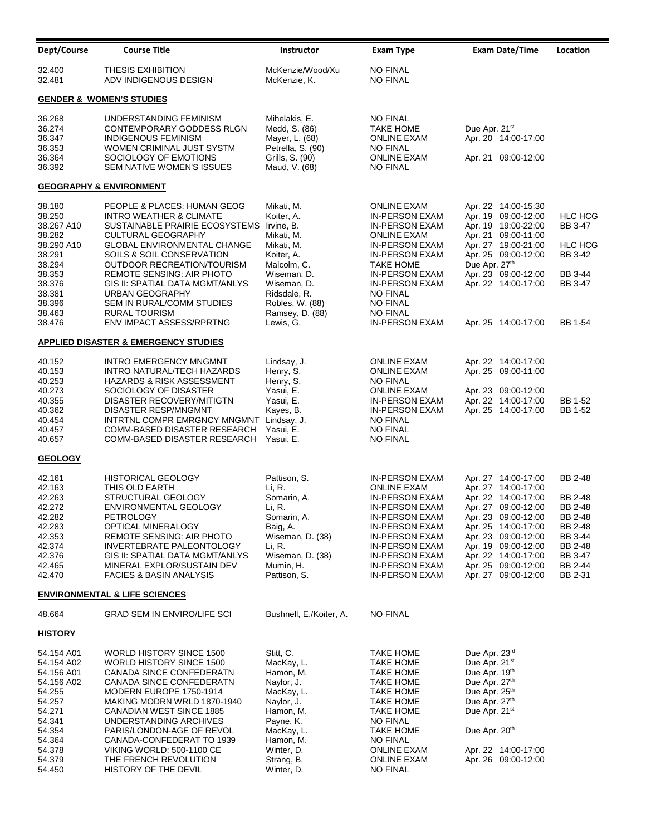| Dept/Course                                                                                                                                    | <b>Course Title</b>                                                                                                                                                                                                                                                                                                                                                                               | <b>Instructor</b>                                                                                                                                                                                | <b>Exam Type</b>                                                                                                                                                                                                                                                  | <b>Exam Date/Time</b>                                                                                                                                                                                                                                     | Location                                                                                                          |
|------------------------------------------------------------------------------------------------------------------------------------------------|---------------------------------------------------------------------------------------------------------------------------------------------------------------------------------------------------------------------------------------------------------------------------------------------------------------------------------------------------------------------------------------------------|--------------------------------------------------------------------------------------------------------------------------------------------------------------------------------------------------|-------------------------------------------------------------------------------------------------------------------------------------------------------------------------------------------------------------------------------------------------------------------|-----------------------------------------------------------------------------------------------------------------------------------------------------------------------------------------------------------------------------------------------------------|-------------------------------------------------------------------------------------------------------------------|
| 32.400<br>32.481                                                                                                                               | <b>THESIS EXHIBITION</b><br>ADV INDIGENOUS DESIGN                                                                                                                                                                                                                                                                                                                                                 | McKenzie/Wood/Xu<br>McKenzie, K.                                                                                                                                                                 | <b>NO FINAL</b><br>NO FINAL                                                                                                                                                                                                                                       |                                                                                                                                                                                                                                                           |                                                                                                                   |
|                                                                                                                                                | <b>GENDER &amp; WOMEN'S STUDIES</b>                                                                                                                                                                                                                                                                                                                                                               |                                                                                                                                                                                                  |                                                                                                                                                                                                                                                                   |                                                                                                                                                                                                                                                           |                                                                                                                   |
| 36.268<br>36.274<br>36.347<br>36.353<br>36.364<br>36.392                                                                                       | UNDERSTANDING FEMINISM<br>CONTEMPORARY GODDESS RLGN<br><b>INDIGENOUS FEMINISM</b><br>WOMEN CRIMINAL JUST SYSTM<br>SOCIOLOGY OF EMOTIONS<br>SEM NATIVE WOMEN'S ISSUES                                                                                                                                                                                                                              | Mihelakis, E.<br>Medd, S. (86)<br>Mayer, L. (68)<br>Petrella, S. (90)<br>Grills, S. (90)<br>Maud, V. (68)                                                                                        | <b>NO FINAL</b><br>TAKE HOME<br><b>ONLINE EXAM</b><br><b>NO FINAL</b><br><b>ONLINE EXAM</b><br><b>NO FINAL</b>                                                                                                                                                    | Due Apr. 21 <sup>st</sup><br>Apr. 20 14:00-17:00<br>Apr. 21 09:00-12:00                                                                                                                                                                                   |                                                                                                                   |
|                                                                                                                                                | <b>GEOGRAPHY &amp; ENVIRONMENT</b>                                                                                                                                                                                                                                                                                                                                                                |                                                                                                                                                                                                  |                                                                                                                                                                                                                                                                   |                                                                                                                                                                                                                                                           |                                                                                                                   |
| 38.180<br>38.250<br>38.267 A10<br>38.282<br>38.290 A10<br>38.291<br>38.294<br>38.353<br>38.376<br>38.381<br>38.396<br>38.463<br>38.476         | PEOPLE & PLACES: HUMAN GEOG<br>INTRO WEATHER & CLIMATE<br>SUSTAINABLE PRAIRIE ECOSYSTEMS<br><b>CULTURAL GEOGRAPHY</b><br><b>GLOBAL ENVIRONMENTAL CHANGE</b><br>SOILS & SOIL CONSERVATION<br>OUTDOOR RECREATION/TOURISM<br>REMOTE SENSING: AIR PHOTO<br>GIS II: SPATIAL DATA MGMT/ANLYS<br>URBAN GEOGRAPHY<br>SEM IN RURAL/COMM STUDIES<br><b>RURAL TOURISM</b><br><b>ENV IMPACT ASSESS/RPRTNG</b> | Mikati, M.<br>Koiter, A.<br>Irvine, B.<br>Mikati, M.<br>Mikati, M.<br>Koiter, A.<br>Malcolm, C.<br>Wiseman, D.<br>Wiseman, D.<br>Ridsdale, R.<br>Robles, W. (88)<br>Ramsey, D. (88)<br>Lewis, G. | <b>ONLINE EXAM</b><br>IN-PERSON EXAM<br>IN-PERSON EXAM<br><b>ONLINE EXAM</b><br>IN-PERSON EXAM<br>IN-PERSON EXAM<br>TAKE HOME<br><b>IN-PERSON EXAM</b><br><b>IN-PERSON EXAM</b><br><b>NO FINAL</b><br><b>NO FINAL</b><br><b>NO FINAL</b><br><b>IN-PERSON EXAM</b> | Apr. 22 14:00-15:30<br>Apr. 19 09:00-12:00<br>Apr. 19 19:00-22:00<br>Apr. 21 09:00-11:00<br>Apr. 27 19:00-21:00<br>Apr. 25 09:00-12:00<br>Due Apr. 27th<br>Apr. 23 09:00-12:00<br>Apr. 22 14:00-17:00<br>Apr. 25 14:00-17:00                              | <b>HLC HCG</b><br>BB 3-47<br><b>HLC HCG</b><br>BB 3-42<br><b>BB 3-44</b><br><b>BB 3-47</b><br>BB 1-54             |
|                                                                                                                                                | <u>APPLIED DISASTER &amp; EMERGENCY STUDIES</u>                                                                                                                                                                                                                                                                                                                                                   |                                                                                                                                                                                                  |                                                                                                                                                                                                                                                                   |                                                                                                                                                                                                                                                           |                                                                                                                   |
| 40.152<br>40.153<br>40.253<br>40.273<br>40.355<br>40.362<br>40.454<br>40.457<br>40.657                                                         | <b>INTRO EMERGENCY MNGMNT</b><br>INTRO NATURAL/TECH HAZARDS<br>HAZARDS & RISK ASSESSMENT<br>SOCIOLOGY OF DISASTER<br>DISASTER RECOVERY/MITIGTN<br>DISASTER RESP/MNGMNT<br>INTRTNL COMPR EMRGNCY MNGMNT<br>COMM-BASED DISASTER RESEARCH<br>COMM-BASED DISASTER RESEARCH                                                                                                                            | Lindsay, J.<br>Henry, S.<br>Henry, S.<br>Yasui, E.<br>Yasui, E.<br>Kayes, B.<br>Lindsay, J.<br>Yasui, E.<br>Yasui, E.                                                                            | <b>ONLINE EXAM</b><br><b>ONLINE EXAM</b><br>NO FINAL<br><b>ONLINE EXAM</b><br>IN-PERSON EXAM<br><b>IN-PERSON EXAM</b><br><b>NO FINAL</b><br><b>NO FINAL</b><br><b>NO FINAL</b>                                                                                    | Apr. 22 14:00-17:00<br>Apr. 25 09:00-11:00<br>Apr. 23 09:00-12:00<br>Apr. 22 14:00-17:00<br>Apr. 25 14:00-17:00                                                                                                                                           | BB 1-52<br>BB 1-52                                                                                                |
| <b>GEOLOGY</b>                                                                                                                                 |                                                                                                                                                                                                                                                                                                                                                                                                   |                                                                                                                                                                                                  |                                                                                                                                                                                                                                                                   |                                                                                                                                                                                                                                                           |                                                                                                                   |
| 42.161<br>42.163<br>42.263<br>42.272<br>42.282<br>42.283<br>42.353<br>42.374<br>42.376<br>42.465<br>42.470                                     | <b>HISTORICAL GEOLOGY</b><br>THIS OLD EARTH<br>STRUCTURAL GEOLOGY<br><b>ENVIRONMENTAL GEOLOGY</b><br>PETROLOGY<br>OPTICAL MINERALOGY<br><b>REMOTE SENSING: AIR PHOTO</b><br>INVERTEBRATE PALEONTOLOGY<br>GIS II: SPATIAL DATA MGMT/ANLYS<br>MINERAL EXPLOR/SUSTAIN DEV<br><b>FACIES &amp; BASIN ANALYSIS</b>                                                                                      | Pattison, S.<br>Li, R.<br>Somarin, A.<br>Li, R.<br>Somarin, A.<br>Baig, A.<br>Wiseman, D. (38)<br>Li, R.<br>Wiseman, D. (38)<br>Mumin, H.<br>Pattison, S.                                        | <b>IN-PERSON EXAM</b><br><b>ONLINE EXAM</b><br>IN-PERSON EXAM<br>IN-PERSON EXAM<br>IN-PERSON EXAM<br>IN-PERSON EXAM<br>IN-PERSON EXAM<br>IN-PERSON EXAM<br><b>IN-PERSON EXAM</b><br>IN-PERSON EXAM<br>IN-PERSON EXAM                                              | Apr. 27 14:00-17:00<br>Apr. 27 14:00-17:00<br>Apr. 22 14:00-17:00<br>Apr. 27 09:00-12:00<br>Apr. 23 09:00-12:00<br>Apr. 25 14:00-17:00<br>Apr. 23 09:00-12:00<br>Apr. 19 09:00-12:00<br>Apr. 22 14:00-17:00<br>Apr. 25 09:00-12:00<br>Apr. 27 09:00-12:00 | BB 2-48<br>BB 2-48<br><b>BB 2-48</b><br>BB 2-48<br>BB 2-48<br>BB 3-44<br>BB 2-48<br>BB 3-47<br>BB 2-44<br>BB 2-31 |
|                                                                                                                                                | <b>ENVIRONMENTAL &amp; LIFE SCIENCES</b>                                                                                                                                                                                                                                                                                                                                                          |                                                                                                                                                                                                  |                                                                                                                                                                                                                                                                   |                                                                                                                                                                                                                                                           |                                                                                                                   |
| 48.664                                                                                                                                         | <b>GRAD SEM IN ENVIRO/LIFE SCI</b>                                                                                                                                                                                                                                                                                                                                                                | Bushnell, E./Koiter, A.                                                                                                                                                                          | <b>NO FINAL</b>                                                                                                                                                                                                                                                   |                                                                                                                                                                                                                                                           |                                                                                                                   |
| <u>HISTORY</u>                                                                                                                                 |                                                                                                                                                                                                                                                                                                                                                                                                   |                                                                                                                                                                                                  |                                                                                                                                                                                                                                                                   |                                                                                                                                                                                                                                                           |                                                                                                                   |
| 54.154 A01<br>54.154 A02<br>54.156 A01<br>54.156 A02<br>54.255<br>54.257<br>54.271<br>54.341<br>54.354<br>54.364<br>54.378<br>54.379<br>54.450 | WORLD HISTORY SINCE 1500<br>WORLD HISTORY SINCE 1500<br>CANADA SINCE CONFEDERATN<br>CANADA SINCE CONFEDERATN<br>MODERN EUROPE 1750-1914<br>MAKING MODRN WRLD 1870-1940<br>CANADIAN WEST SINCE 1885<br>UNDERSTANDING ARCHIVES<br>PARIS/LONDON-AGE OF REVOL<br>CANADA-CONFEDERAT TO 1939<br><b>VIKING WORLD: 500-1100 CE</b><br>THE FRENCH REVOLUTION<br>HISTORY OF THE DEVIL                       | Stitt, C.<br>MacKay, L.<br>Hamon, M.<br>Naylor, J.<br>MacKay, L.<br>Naylor, J.<br>Hamon, M.<br>Payne, K.<br>MacKay, L.<br>Hamon, M.<br>Winter, D.<br>Strang, B.<br>Winter, D.                    | TAKE HOME<br>TAKE HOME<br>TAKE HOME<br>TAKE HOME<br><b>TAKE HOME</b><br>TAKE HOME<br><b>TAKE HOME</b><br>NO FINAL<br>TAKE HOME<br><b>NO FINAL</b><br><b>ONLINE EXAM</b><br><b>ONLINE EXAM</b><br><b>NO FINAL</b>                                                  | Due Apr. 23 <sup>rd</sup><br>Due Apr. 21 <sup>st</sup><br>Due Apr. 19th<br>Due Apr. 27th<br>Due Apr. 25 <sup>th</sup><br>Due Apr. 27th<br>Due Apr. 21 <sup>st</sup><br>Due Apr. 20 <sup>th</sup><br>Apr. 22 14:00-17:00<br>Apr. 26 09:00-12:00            |                                                                                                                   |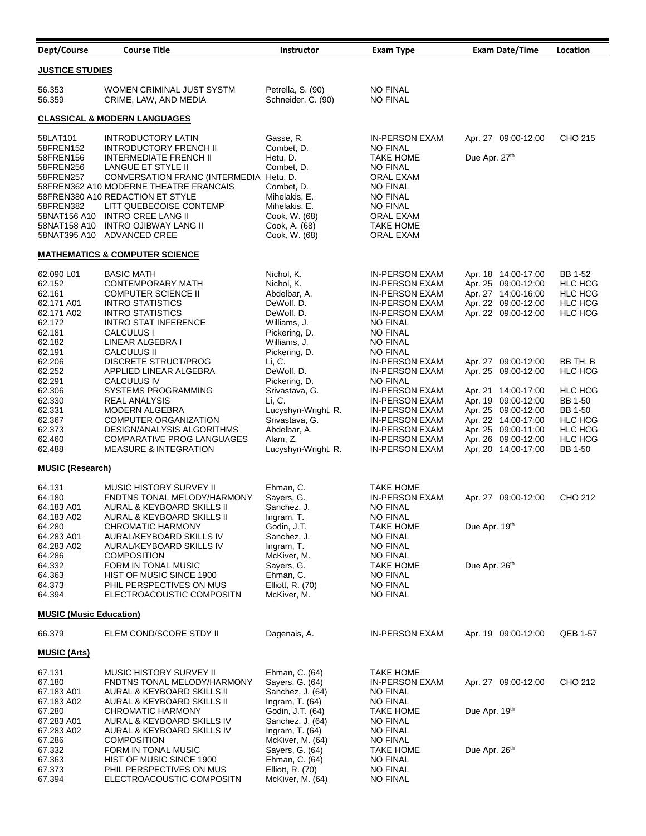| Dept/Course                                                                                                      | <b>Course Title</b>                                                                                                                                                                                                                                                                   | <b>Instructor</b>                                                                                                                          | <b>Exam Type</b>                                                                                                                                                                      | <b>Exam Date/Time</b>                                                                                                                                         | Location                                                                                       |  |
|------------------------------------------------------------------------------------------------------------------|---------------------------------------------------------------------------------------------------------------------------------------------------------------------------------------------------------------------------------------------------------------------------------------|--------------------------------------------------------------------------------------------------------------------------------------------|---------------------------------------------------------------------------------------------------------------------------------------------------------------------------------------|---------------------------------------------------------------------------------------------------------------------------------------------------------------|------------------------------------------------------------------------------------------------|--|
| <b>JUSTICE STUDIES</b>                                                                                           |                                                                                                                                                                                                                                                                                       |                                                                                                                                            |                                                                                                                                                                                       |                                                                                                                                                               |                                                                                                |  |
| 56.353<br>56.359                                                                                                 | WOMEN CRIMINAL JUST SYSTM<br>CRIME, LAW, AND MEDIA                                                                                                                                                                                                                                    | Petrella, S. (90)<br>Schneider, C. (90)                                                                                                    | <b>NO FINAL</b><br><b>NO FINAL</b>                                                                                                                                                    |                                                                                                                                                               |                                                                                                |  |
|                                                                                                                  | <b>CLASSICAL &amp; MODERN LANGUAGES</b>                                                                                                                                                                                                                                               |                                                                                                                                            |                                                                                                                                                                                       |                                                                                                                                                               |                                                                                                |  |
| 58LAT101<br>58FREN152                                                                                            | <b>INTRODUCTORY LATIN</b><br><b>INTRODUCTORY FRENCH II</b>                                                                                                                                                                                                                            | Gasse, R.<br>Combet, D.                                                                                                                    | <b>IN-PERSON EXAM</b><br><b>NO FINAL</b>                                                                                                                                              | Apr. 27 09:00-12:00                                                                                                                                           | CHO 215                                                                                        |  |
| 58FREN156<br>58FREN256<br>58FREN257<br>58FREN382<br>58NAT156 A10<br>58NAT158 A10<br>58NAT395 A10                 | <b>INTERMEDIATE FRENCH II</b><br>LANGUE ET STYLE II<br>CONVERSATION FRANC (INTERMEDIA Hetu, D.<br>58FREN362 A10 MODERNE THEATRE FRANCAIS<br>58FREN380 A10 REDACTION ET STYLE<br>LITT QUEBECOISE CONTEMP<br><b>INTRO CREE LANG II</b><br><b>INTRO OJIBWAY LANG II</b><br>ADVANCED CREE | Hetu, D.<br>Combet. D.<br>Combet, D.<br>Mihelakis, E.<br>Mihelakis, E.<br>Cook, W. (68)<br>Cook, A. (68)<br>Cook, W. (68)                  | <b>TAKE HOME</b><br><b>NO FINAL</b><br>ORAL EXAM<br><b>NO FINAL</b><br><b>NO FINAL</b><br><b>NO FINAL</b><br>ORAL EXAM<br>TAKE HOME<br>ORAL EXAM                                      | Due Apr. 27th                                                                                                                                                 |                                                                                                |  |
|                                                                                                                  | <b>MATHEMATICS &amp; COMPUTER SCIENCE</b>                                                                                                                                                                                                                                             |                                                                                                                                            |                                                                                                                                                                                       |                                                                                                                                                               |                                                                                                |  |
| 62.090 L01<br>62.152<br>62.161<br>62.171 A01<br>62.171 A02<br>62.172<br>62.181<br>62.182                         | <b>BASIC MATH</b><br><b>CONTEMPORARY MATH</b><br><b>COMPUTER SCIENCE II</b><br><b>INTRO STATISTICS</b><br><b>INTRO STATISTICS</b><br><b>INTRO STAT INFERENCE</b><br>CALCULUS I<br>LINEAR ALGEBRA I                                                                                    | Nichol, K.<br>Nichol, K.<br>Abdelbar, A.<br>DeWolf, D.<br>DeWolf, D.<br>Williams, J.<br>Pickering, D.<br>Williams, J.                      | <b>IN-PERSON EXAM</b><br><b>IN-PERSON EXAM</b><br><b>IN-PERSON EXAM</b><br>IN-PERSON EXAM<br><b>IN-PERSON EXAM</b><br><b>NO FINAL</b><br><b>NO FINAL</b><br><b>NO FINAL</b>           | Apr. 18 14:00-17:00<br>Apr. 25 09:00-12:00<br>Apr. 27 14:00-16:00<br>Apr. 22 09:00-12:00<br>Apr. 22 09:00-12:00                                               | <b>BB 1-52</b><br><b>HLC HCG</b><br><b>HLC HCG</b><br><b>HLC HCG</b><br><b>HLC HCG</b>         |  |
| 62.191<br>62.206<br>62.252<br>62.291                                                                             | <b>CALCULUS II</b><br><b>DISCRETE STRUCT/PROG</b><br>APPLIED LINEAR ALGEBRA<br><b>CALCULUS IV</b>                                                                                                                                                                                     | Pickering, D.<br>Li, C.<br>DeWolf, D.<br>Pickering, D.                                                                                     | <b>NO FINAL</b><br>IN-PERSON EXAM<br>IN-PERSON EXAM<br><b>NO FINAL</b>                                                                                                                | Apr. 27 09:00-12:00<br>Apr. 25 09:00-12:00                                                                                                                    | BB TH. B<br>HLC HCG                                                                            |  |
| 62.306<br>62.330<br>62.331<br>62.367<br>62.373<br>62.460<br>62.488                                               | SYSTEMS PROGRAMMING<br>REAL ANALYSIS<br><b>MODERN ALGEBRA</b><br><b>COMPUTER ORGANIZATION</b><br>DESIGN/ANALYSIS ALGORITHMS<br><b>COMPARATIVE PROG LANGUAGES</b><br><b>MEASURE &amp; INTEGRATION</b>                                                                                  | Srivastava, G.<br>Li, C.<br>Lucyshyn-Wright, R.<br>Srivastava, G.<br>Abdelbar, A.<br>Alam, Z.<br>Lucyshyn-Wright, R.                       | IN-PERSON EXAM<br>IN-PERSON EXAM<br>IN-PERSON EXAM<br><b>IN-PERSON EXAM</b><br><b>IN-PERSON EXAM</b><br><b>IN-PERSON EXAM</b><br>IN-PERSON EXAM                                       | Apr. 21 14:00-17:00<br>Apr. 19 09:00-12:00<br>Apr. 25 09:00-12:00<br>Apr. 22 14:00-17:00<br>Apr. 25 09:00-11:00<br>Apr. 26 09:00-12:00<br>Apr. 20 14:00-17:00 | HLC HCG<br>BB 1-50<br>BB 1-50<br>HLC HCG<br><b>HLC HCG</b><br><b>HLC HCG</b><br><b>BB 1-50</b> |  |
| <b>MUSIC (Research)</b>                                                                                          |                                                                                                                                                                                                                                                                                       |                                                                                                                                            |                                                                                                                                                                                       |                                                                                                                                                               |                                                                                                |  |
| 64.131<br>64.180<br>64.183 A01<br>64.183 A02<br>64.280<br>64.283 A01<br>64.283 A02<br>64.286<br>64.332<br>64.363 | <b>MUSIC HISTORY SURVEY II</b><br>FNDTNS TONAL MELODY/HARMONY<br>AURAL & KEYBOARD SKILLS II<br>AURAL & KEYBOARD SKILLS II<br>CHROMATIC HARMONY<br>AURAL/KEYBOARD SKILLS IV<br>AURAL/KEYBOARD SKILLS IV<br><b>COMPOSITION</b><br>FORM IN TONAL MUSIC<br>HIST OF MUSIC SINCE 1900       | Ehman, C.<br>Sayers, G.<br>Sanchez, J.<br>Ingram, T.<br>Godin, J.T.<br>Sanchez, J.<br>Ingram, T.<br>McKiver, M.<br>Sayers, G.<br>Ehman, C. | <b>TAKE HOME</b><br><b>IN-PERSON EXAM</b><br><b>NO FINAL</b><br><b>NO FINAL</b><br>TAKE HOME<br><b>NO FINAL</b><br><b>NO FINAL</b><br><b>NO FINAL</b><br><b>TAKE HOME</b><br>NO FINAL | Apr. 27 09:00-12:00<br>Due Apr. 19th<br>Due Apr. 26th                                                                                                         | CHO 212                                                                                        |  |
| 64.373<br>64.394                                                                                                 | PHIL PERSPECTIVES ON MUS<br>ELECTROACOUSTIC COMPOSITN                                                                                                                                                                                                                                 | Elliott, R. (70)<br>McKiver, M.                                                                                                            | <b>NO FINAL</b><br>NO FINAL                                                                                                                                                           |                                                                                                                                                               |                                                                                                |  |
| <b>MUSIC (Music Education)</b>                                                                                   |                                                                                                                                                                                                                                                                                       |                                                                                                                                            |                                                                                                                                                                                       |                                                                                                                                                               |                                                                                                |  |
| 66.379                                                                                                           | ELEM COND/SCORE STDY II                                                                                                                                                                                                                                                               | Dagenais, A.                                                                                                                               | IN-PERSON EXAM                                                                                                                                                                        | Apr. 19 09:00-12:00                                                                                                                                           | QEB 1-57                                                                                       |  |
| <b>MUSIC (Arts)</b>                                                                                              |                                                                                                                                                                                                                                                                                       |                                                                                                                                            |                                                                                                                                                                                       |                                                                                                                                                               |                                                                                                |  |
| 67.131<br>67.180<br>67.183 A01<br>67.183 A02<br>67.280<br>67.283 A01                                             | MUSIC HISTORY SURVEY II<br>FNDTNS TONAL MELODY/HARMONY<br>AURAL & KEYBOARD SKILLS II<br>AURAL & KEYBOARD SKILLS II<br>CHROMATIC HARMONY<br>AURAL & KEYBOARD SKILLS IV                                                                                                                 | Ehman, C. (64)<br>Sayers, G. (64)<br>Sanchez, J. (64)<br>Ingram, $T. (64)$<br>Godin, J.T. (64)<br>Sanchez, J. (64)                         | <b>TAKE HOME</b><br>IN-PERSON EXAM<br><b>NO FINAL</b><br><b>NO FINAL</b><br>TAKE HOME<br>NO FINAL                                                                                     | Apr. 27 09:00-12:00<br>Due Apr. 19th                                                                                                                          | CHO 212                                                                                        |  |
| 67.283 A02<br>67.286<br>67.332<br>67.363<br>67.373<br>67.394                                                     | AURAL & KEYBOARD SKILLS IV<br><b>COMPOSITION</b><br>FORM IN TONAL MUSIC<br>HIST OF MUSIC SINCE 1900<br>PHIL PERSPECTIVES ON MUS<br>ELECTROACOUSTIC COMPOSITN                                                                                                                          | Ingram, $T. (64)$<br>McKiver, M. (64)<br>Sayers, G. (64)<br>Ehman, C. (64)<br>Elliott, R. (70)<br>McKiver, M. (64)                         | NO FINAL<br><b>NO FINAL</b><br>TAKE HOME<br>NO FINAL<br><b>NO FINAL</b><br><b>NO FINAL</b>                                                                                            | Due Apr. 26th                                                                                                                                                 |                                                                                                |  |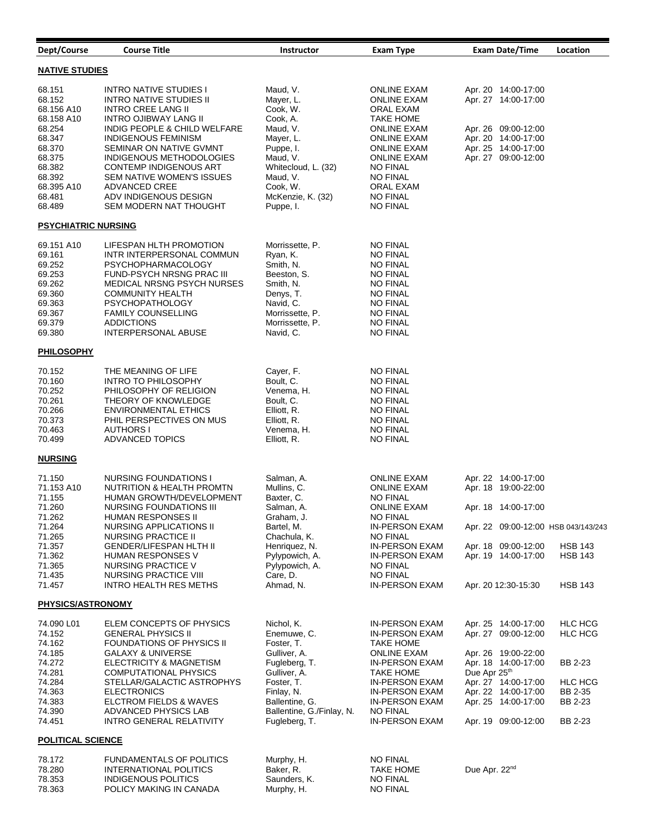| Dept/Course                | <b>Course Title</b>                                       | <b>Instructor</b>               | <b>Exam Type</b>                         | <b>Exam Date/Time</b>                      | Location       |  |
|----------------------------|-----------------------------------------------------------|---------------------------------|------------------------------------------|--------------------------------------------|----------------|--|
| <b>NATIVE STUDIES</b>      |                                                           |                                 |                                          |                                            |                |  |
| 68.151                     | INTRO NATIVE STUDIES I                                    | Maud, V.                        | <b>ONLINE EXAM</b>                       | Apr. 20 14:00-17:00                        |                |  |
| 68.152                     | INTRO NATIVE STUDIES II                                   | Mayer, L.                       | <b>ONLINE EXAM</b>                       | Apr. 27 14:00-17:00                        |                |  |
| 68.156 A10                 | <b>INTRO CREE LANG II</b>                                 | Cook, W.                        | ORAL EXAM                                |                                            |                |  |
| 68.158 A10                 | INTRO OJIBWAY LANG II                                     | Cook, A.                        | <b>TAKE HOME</b>                         |                                            |                |  |
| 68.254                     | INDIG PEOPLE & CHILD WELFARE                              | Maud, V.                        | <b>ONLINE EXAM</b>                       | Apr. 26 09:00-12:00                        |                |  |
| 68.347                     | <b>INDIGENOUS FEMINISM</b>                                | Mayer, L.                       | <b>ONLINE EXAM</b>                       | Apr. 20 14:00-17:00                        |                |  |
| 68.370                     | SEMINAR ON NATIVE GVMNT                                   | Puppe, I.                       | <b>ONLINE EXAM</b>                       | Apr. 25 14:00-17:00<br>Apr. 27 09:00-12:00 |                |  |
| 68.375<br>68.382           | INDIGENOUS METHODOLOGIES<br><b>CONTEMP INDIGENOUS ART</b> | Maud, V.<br>Whitecloud, L. (32) | <b>ONLINE EXAM</b><br><b>NO FINAL</b>    |                                            |                |  |
| 68.392                     | <b>SEM NATIVE WOMEN'S ISSUES</b>                          | Maud, V.                        | <b>NO FINAL</b>                          |                                            |                |  |
| 68.395 A10                 | ADVANCED CREE                                             | Cook, W.                        | ORAL EXAM                                |                                            |                |  |
| 68.481                     | ADV INDIGENOUS DESIGN                                     | McKenzie, K. (32)               | <b>NO FINAL</b>                          |                                            |                |  |
| 68.489                     | SEM MODERN NAT THOUGHT                                    | Puppe, I.                       | <b>NO FINAL</b>                          |                                            |                |  |
| <b>PSYCHIATRIC NURSING</b> |                                                           |                                 |                                          |                                            |                |  |
| 69.151 A10                 | LIFESPAN HLTH PROMOTION                                   | Morrissette, P.                 | <b>NO FINAL</b>                          |                                            |                |  |
| 69.161                     | INTR INTERPERSONAL COMMUN                                 | Ryan, K.                        | <b>NO FINAL</b>                          |                                            |                |  |
| 69.252                     | <b>PSYCHOPHARMACOLOGY</b>                                 | Smith, N.                       | <b>NO FINAL</b>                          |                                            |                |  |
| 69.253                     | FUND-PSYCH NRSNG PRAC III                                 | Beeston, S.                     | <b>NO FINAL</b>                          |                                            |                |  |
| 69.262                     | <b>MEDICAL NRSNG PSYCH NURSES</b>                         | Smith, N.                       | <b>NO FINAL</b>                          |                                            |                |  |
| 69.360                     | <b>COMMUNITY HEALTH</b>                                   | Denys, T.                       | <b>NO FINAL</b>                          |                                            |                |  |
| 69.363                     | <b>PSYCHOPATHOLOGY</b>                                    | Navid, C.                       | <b>NO FINAL</b>                          |                                            |                |  |
| 69.367                     | <b>FAMILY COUNSELLING</b>                                 | Morrissette, P.                 | <b>NO FINAL</b>                          |                                            |                |  |
| 69.379                     | <b>ADDICTIONS</b>                                         | Morrissette, P.                 | <b>NO FINAL</b>                          |                                            |                |  |
| 69.380                     | <b>INTERPERSONAL ABUSE</b>                                | Navid, C.                       | NO FINAL                                 |                                            |                |  |
| <b>PHILOSOPHY</b>          |                                                           |                                 |                                          |                                            |                |  |
| 70.152                     | THE MEANING OF LIFE                                       | Cayer, F.                       | <b>NO FINAL</b>                          |                                            |                |  |
| 70.160                     | INTRO TO PHILOSOPHY                                       | Boult, C.                       | <b>NO FINAL</b>                          |                                            |                |  |
| 70.252                     | PHILOSOPHY OF RELIGION                                    | Venema, H.                      | <b>NO FINAL</b>                          |                                            |                |  |
| 70.261                     | THEORY OF KNOWLEDGE                                       | Boult, C.                       | <b>NO FINAL</b>                          |                                            |                |  |
| 70.266                     | <b>ENVIRONMENTAL ETHICS</b>                               | Elliott, R.                     | <b>NO FINAL</b>                          |                                            |                |  |
| 70.373                     | PHIL PERSPECTIVES ON MUS                                  | Elliott, R.                     | <b>NO FINAL</b>                          |                                            |                |  |
| 70.463<br>70.499           | AUTHORS I                                                 | Venema, H.                      | <b>NO FINAL</b>                          |                                            |                |  |
|                            | <b>ADVANCED TOPICS</b>                                    | Elliott, R.                     | <b>NO FINAL</b>                          |                                            |                |  |
| <b>NURSING</b>             |                                                           |                                 |                                          |                                            |                |  |
| 71.150                     | NURSING FOUNDATIONS I                                     | Salman, A.                      | <b>ONLINE EXAM</b>                       | Apr. 22 14:00-17:00                        |                |  |
| 71.153 A10                 | NUTRITION & HEALTH PROMTN                                 | Mullins, C.                     | <b>ONLINE EXAM</b>                       | Apr. 18 19:00-22:00                        |                |  |
| 71.155                     | HUMAN GROWTH/DEVELOPMENT                                  | Baxter, C.                      | <b>NO FINAL</b>                          |                                            |                |  |
| 71.260                     | NURSING FOUNDATIONS III                                   | Salman, A.                      | <b>ONLINE EXAM</b>                       | Apr. 18 14:00-17:00                        |                |  |
| 71.262                     | HUMAN RESPONSES II                                        | Graham, J.                      | NO FINAL                                 |                                            |                |  |
| 71.264                     | NURSING APPLICATIONS II                                   | Bartel, M.                      | <b>IN-PERSON EXAM</b>                    | Apr. 22 09:00-12:00 HSB 043/143/243        |                |  |
| 71.265<br>71.357           | NURSING PRACTICE II<br><b>GENDER/LIFESPAN HLTH II</b>     | Chachula, K.<br>Henriquez, N.   | <b>NO FINAL</b><br><b>IN-PERSON EXAM</b> | Apr. 18 09:00-12:00                        | <b>HSB 143</b> |  |
| 71.362                     | HUMAN RESPONSES V                                         | Pylypowich, A.                  | <b>IN-PERSON EXAM</b>                    | Apr. 19 14:00-17:00                        | <b>HSB 143</b> |  |
| 71.365                     | NURSING PRACTICE V                                        | Pylypowich, A.                  | <b>NO FINAL</b>                          |                                            |                |  |
| 71.435                     | NURSING PRACTICE VIII                                     | Care, D.                        | <b>NO FINAL</b>                          |                                            |                |  |
| 71.457                     | INTRO HEALTH RES METHS                                    | Ahmad, N.                       | IN-PERSON EXAM                           | Apr. 20 12:30-15:30                        | <b>HSB 143</b> |  |
| <b>PHYSICS/ASTRONOMY</b>   |                                                           |                                 |                                          |                                            |                |  |
| 74.090 L01                 | ELEM CONCEPTS OF PHYSICS                                  | Nichol, K.                      | <b>IN-PERSON EXAM</b>                    | Apr. 25 14:00-17:00                        | <b>HLC HCG</b> |  |
| 74.152                     | <b>GENERAL PHYSICS II</b>                                 | Enemuwe, C.                     | IN-PERSON EXAM                           | Apr. 27 09:00-12:00                        | HLC HCG        |  |
| 74.162                     | <b>FOUNDATIONS OF PHYSICS II</b>                          | Foster, T.                      | <b>TAKE HOME</b>                         |                                            |                |  |
| 74.185                     | <b>GALAXY &amp; UNIVERSE</b>                              | Gulliver, A.                    | <b>ONLINE EXAM</b>                       | Apr. 26 19:00-22:00                        |                |  |
| 74.272                     | ELECTRICITY & MAGNETISM                                   | Fugleberg, T.                   | <b>IN-PERSON EXAM</b>                    | Apr. 18 14:00-17:00                        | BB 2-23        |  |
| 74.281                     | <b>COMPUTATIONAL PHYSICS</b>                              | Gulliver, A.                    | <b>TAKE HOME</b>                         | Due Apr 25th                               |                |  |
| 74.284                     | STELLAR/GALACTIC ASTROPHYS                                | Foster, T.                      | <b>IN-PERSON EXAM</b>                    | Apr. 27 14:00-17:00                        | <b>HLC HCG</b> |  |
| 74.363                     | <b>ELECTRONICS</b>                                        | Finlay, N.                      | IN-PERSON EXAM                           | Apr. 22 14:00-17:00                        | BB 2-35        |  |
| 74.383                     | ELCTROM FIELDS & WAVES                                    | Ballentine, G.                  | IN-PERSON EXAM                           | Apr. 25 14:00-17:00                        | BB 2-23        |  |
| 74.390                     | ADVANCED PHYSICS LAB                                      | Ballentine, G./Finlay, N.       | <b>NO FINAL</b>                          |                                            |                |  |
| 74.451                     | INTRO GENERAL RELATIVITY                                  | Fugleberg, T.                   | IN-PERSON EXAM                           | Apr. 19 09:00-12:00                        | BB 2-23        |  |
| <b>POLITICAL SCIENCE</b>   |                                                           |                                 |                                          |                                            |                |  |
| 78.172                     | <b>FUNDAMENTALS OF POLITICS</b>                           | Murphy, H.                      | <b>NO FINAL</b>                          |                                            |                |  |
| 78.280                     | <b>INTERNATIONAL POLITICS</b>                             | Baker, R.                       | TAKE HOME                                | Due Apr. 22nd                              |                |  |
| 78.353                     | INDIGENOUS POLITICS                                       | Saunders, K.                    | <b>NO FINAL</b>                          |                                            |                |  |
| 78.363                     | POLICY MAKING IN CANADA                                   | Murphy, H.                      | <b>NO FINAL</b>                          |                                            |                |  |